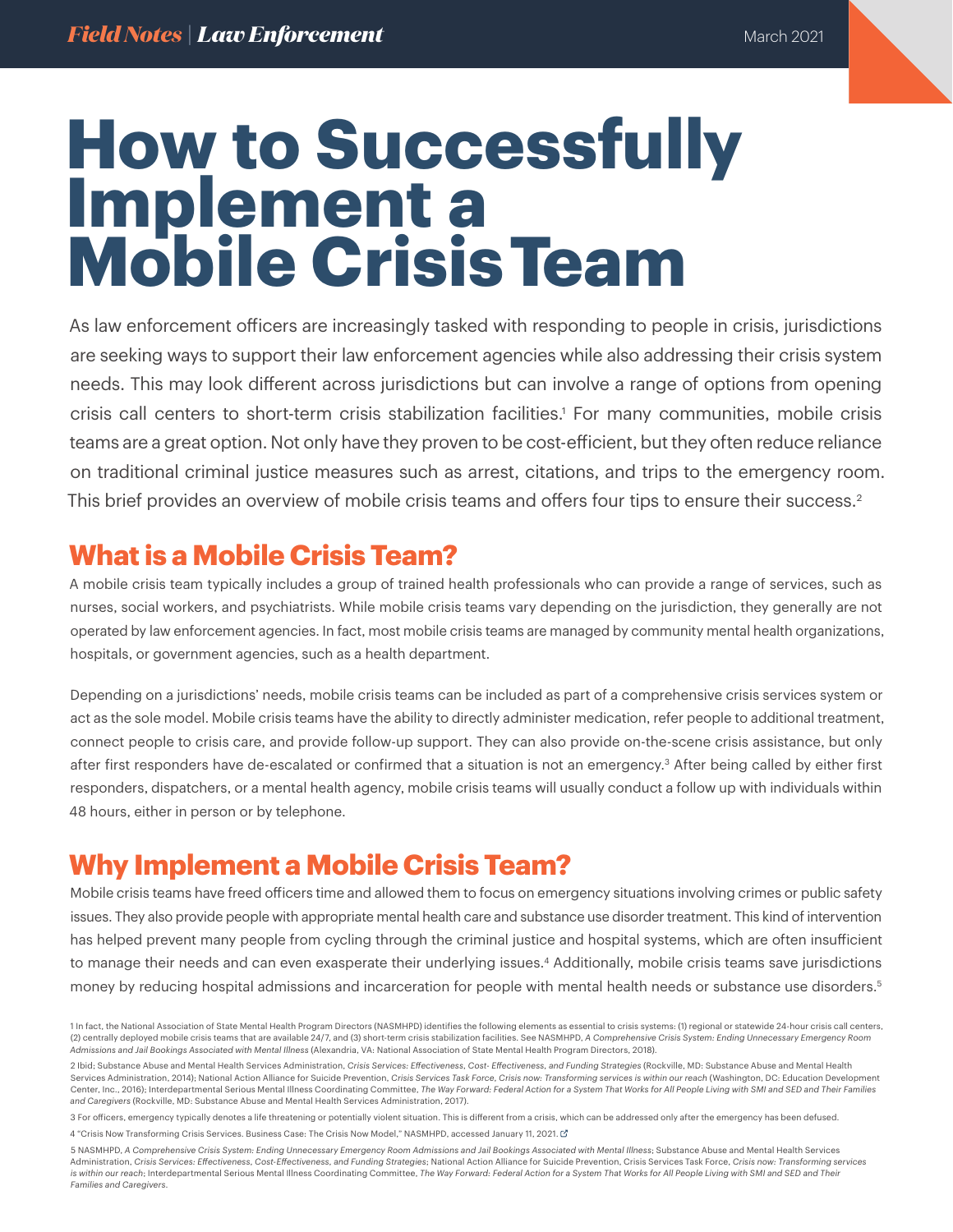# **How to Successfully Implement a Mobile Crisis Team**

As law enforcement officers are increasingly tasked with responding to people in crisis, jurisdictions are seeking ways to support their law enforcement agencies while also addressing their crisis system needs. This may look different across jurisdictions but can involve a range of options from opening crisis call centers to short-term crisis stabilization facilities.1 For many communities, mobile crisis teams are a great option. Not only have they proven to be cost-efficient, but they often reduce reliance on traditional criminal justice measures such as arrest, citations, and trips to the emergency room. This brief provides an overview of mobile crisis teams and offers four tips to ensure their success.2

### **What is a Mobile Crisis Team?**

A mobile crisis team typically includes a group of trained health professionals who can provide a range of services, such as nurses, social workers, and psychiatrists. While mobile crisis teams vary depending on the jurisdiction, they generally are not operated by law enforcement agencies. In fact, most mobile crisis teams are managed by community mental health organizations, hospitals, or government agencies, such as a health department.

Depending on a jurisdictions' needs, mobile crisis teams can be included as part of a comprehensive crisis services system or act as the sole model. Mobile crisis teams have the ability to directly administer medication, refer people to additional treatment, connect people to crisis care, and provide follow-up support. They can also provide on-the-scene crisis assistance, but only after first responders have de-escalated or confirmed that a situation is not an emergency.<sup>3</sup> After being called by either first responders, dispatchers, or a mental health agency, mobile crisis teams will usually conduct a follow up with individuals within 48 hours, either in person or by telephone.

## **Why Implement a Mobile Crisis Team?**

Mobile crisis teams have freed officers time and allowed them to focus on emergency situations involving crimes or public safety issues. They also provide people with appropriate mental health care and substance use disorder treatment. This kind of intervention has helped prevent many people from cycling through the criminal justice and hospital systems, which are often insufficient to manage their needs and can even exasperate their underlying issues.<sup>4</sup> Additionally, mobile crisis teams save jurisdictions money by reducing hospital admissions and incarceration for people with mental health needs or substance use disorders.5

<sup>1</sup> In fact, the National Association of State Mental Health Program Directors (NASMHPD) identifies the following elements as essential to crisis systems: (1) regional or statewide 24-hour crisis call centers, (2) centrally deployed mobile crisis teams that are available 24/7, and (3) short-term crisis stabilization facilities. See NASMHPD, *A Comprehensive Crisis System: Ending Unnecessary Emergency Room Admissions and Jail Bookings Associated with Mental Illness* (Alexandria, VA: National Association of State Mental Health Program Directors, 2018).

<sup>2</sup> Ibid; Substance Abuse and Mental Health Services Administration, *Crisis Services: Effectiveness, Cost- Effectiveness, and Funding Strategies* (Rockville, MD: Substance Abuse and Mental Health Services Administration, 2014); National Action Alliance for Suicide Prevention, *Crisis Services Task Force, Crisis now: Transforming services is within our reach* (Washington, DC: Education Development Center, Inc., 2016); Interdepartmental Serious Mental Illness Coordinating Committee, *The Way Forward: Federal Action for a System That Works for All People Living with SMI and SED and Their Families and Caregivers* (Rockville, MD: Substance Abuse and Mental Health Services Administration, 2017).

<sup>3</sup> For officers, emergency typically denotes a life threatening or potentially violent situation. This is different from a crisis, which can be addressed only after the emergency has been defused.

<sup>4 &</sup>quot;Crisis Now Transforming Crisis Services. Business Case: The Crisis Now Model," NASMHPD, accessed January 11, 2021. L

<sup>5</sup> NASMHPD, *A Comprehensive Crisis System: Ending Unnecessary Emergency Room Admissions and Jail Bookings Associated with Mental Illness*; Substance Abuse and Mental Health Services Administration, *Crisis Services: Effectiveness, Cost-Effectiveness, and Funding Strategies*; National Action Alliance for Suicide Prevention, Crisis Services Task Force, *Crisis now: Transforming services is within our reach*; Interdepartmental Serious Mental Illness Coordinating Committee, *The Way Forward: Federal Action for a System That Works for All People Living with SMI and SED and Their Families and Caregivers*.